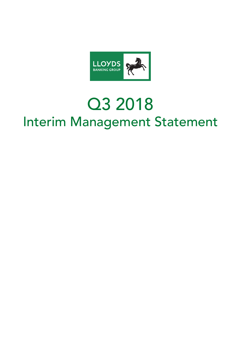

# Q3 2018 Interim Management Statement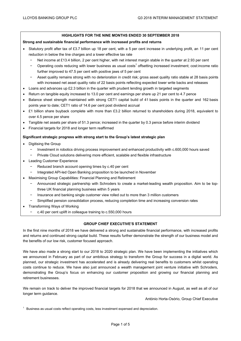# **HIGHLIGHTS FOR THE NINE MONTHS ENDED 30 SEPTEMBER 2018**

## **Strong and sustainable financial performance with increased profits and returns**

- Statutory profit after tax of £3.7 billion up 18 per cent, with a 5 per cent increase in underlying profit, an 11 per cent reduction in below the line charges and a lower effective tax rate
	- Net income at £13.4 billion, 2 per cent higher, with net interest margin stable in the quarter at 2.93 per cent
	- − Operating costs reducing with lower business as usual costs<sup>1</sup> offsetting increased investment; cost:income ratio further improved to 47.5 per cent with positive jaws of 5 per cent
	- − Asset quality remains strong with no deterioration in credit risk; gross asset quality ratio stable at 28 basis points with increased net asset quality ratio of 22 basis points reflecting expected lower write backs and releases
- Loans and advances up £2.3 billion in the quarter with prudent lending growth in targeted segments
- Return on tangible equity increased to 13.0 per cent and earnings per share up 21 per cent to 4.7 pence
- Balance sheet strength maintained with strong CET1 capital build of 41 basis points in the quarter and 162 basis points year to date; CET1 ratio of 14.6 per cent post dividend accrual
- £1 billion share buyback complete with more than £3.2 billion returned to shareholders during 2018, equivalent to over 4.5 pence per share
- Tangible net assets per share of 51.3 pence; increased in the quarter by 0.3 pence before interim dividend
- Financial targets for 2018 and longer term reaffirmed

## **Significant strategic progress with strong start to the Group's latest strategic plan**

- Digitising the Group
	- − Investment in robotics driving process improvement and enhanced productivity with c.600,000 hours saved
	- − Private Cloud solutions delivering more efficient, scalable and flexible infrastructure
- Leading Customer Experience
	- − Reduced branch account opening times by c.40 per cent
	- − Integrated API-led Open Banking proposition to be launched in November
- Maximising Group Capabilities: Financial Planning and Retirement
	- − Announced strategic partnership with Schroders to create a market-leading wealth proposition. Aim to be topthree UK financial planning business within 5 years
	- Insurance and banking single customer view rolled out to more than 3 million customers
	- Simplified pension consolidation process, reducing completion time and increasing conversion rates
- Transforming Ways of Working
	- − c.40 per cent uplift in colleague training to c.550,000 hours

#### **GROUP CHIEF EXECUTIVE'S STATEMENT**

In the first nine months of 2018 we have delivered a strong and sustainable financial performance, with increased profits and returns and continued strong capital build. These results further demonstrate the strength of our business model and the benefits of our low risk, customer focused approach.

We have also made a strong start to our 2018 to 2020 strategic plan. We have been implementing the initiatives which we announced in February as part of our ambitious strategy to transform the Group for success in a digital world. As planned, our strategic investment has accelerated and is already delivering real benefits to customers whilst operating costs continue to reduce. We have also just announced a wealth management joint venture initiative with Schroders, demonstrating the Group's focus on enhancing our customer proposition and growing our financial planning and retirement businesses.

We remain on track to deliver the improved financial targets for 2018 that we announced in August, as well as all of our longer term guidance.

António Horta-Osório, Group Chief Executive

 $1$  Business as usual costs reflect operating costs, less investment expensed and depreciation.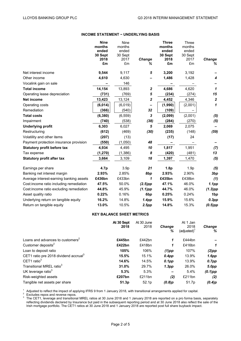## **INCOME STATEMENT − UNDERLYING BASIS**

| <b>Nine</b> | Nine                                                      |                                                             | <b>Three</b>                           | Three                                                                 |                                                             |
|-------------|-----------------------------------------------------------|-------------------------------------------------------------|----------------------------------------|-----------------------------------------------------------------------|-------------------------------------------------------------|
|             | months                                                    |                                                             |                                        | months                                                                |                                                             |
|             |                                                           |                                                             |                                        |                                                                       |                                                             |
|             |                                                           |                                                             |                                        |                                                                       |                                                             |
|             |                                                           |                                                             |                                        |                                                                       | Change<br>℅                                                 |
|             |                                                           |                                                             |                                        |                                                                       |                                                             |
| 9,544       | 9,117                                                     | 5                                                           | 3,200                                  | 3,192                                                                 |                                                             |
| 4,610       | 4,630                                                     |                                                             | 1,486                                  | 1,428                                                                 | 4                                                           |
|             | 146                                                       |                                                             |                                        |                                                                       |                                                             |
| 14,154      | 13,893                                                    | $\boldsymbol{2}$                                            | 4,686                                  | 4,620                                                                 | $\mathbf{1}$                                                |
| (731)       | (769)                                                     | 5                                                           | (234)                                  | (274)                                                                 | 15                                                          |
| 13,423      | 13,124                                                    | $\boldsymbol{2}$                                            | 4,452                                  | 4,346                                                                 | $\boldsymbol{2}$                                            |
| (6, 014)    | (6,019)                                                   |                                                             | (1,990)                                | (2,001)                                                               | 1                                                           |
| (366)       | (540)                                                     | 32                                                          | (109)                                  |                                                                       |                                                             |
| (6, 380)    | (6, 559)                                                  | 3                                                           | (2,099)                                | (2,001)                                                               | (5)                                                         |
| (740)       | (538)                                                     | (38)                                                        | (284)                                  | (270)                                                                 | (5)                                                         |
| 6,303       | 6,027                                                     | $\sqrt{5}$                                                  | 2,069                                  | 2,075                                                                 |                                                             |
| (612)       | (469)                                                     | (30)                                                        | (235)                                  | (148)                                                                 | (59)                                                        |
| (207)       | (13)                                                      |                                                             | (17)                                   | 24                                                                    |                                                             |
| (550)       | (1,050)                                                   | 48                                                          |                                        |                                                                       |                                                             |
| 4,934       | 4,495                                                     | 10                                                          | 1,817                                  | 1,951                                                                 | (7)                                                         |
| (1, 270)    | (1,386)                                                   | 8                                                           | (420)                                  | (481)                                                                 | 13                                                          |
| 3,664       | 3,109                                                     | 18                                                          | 1,397                                  | 1,470                                                                 | (5)                                                         |
|             |                                                           |                                                             |                                        |                                                                       | (5)                                                         |
|             |                                                           |                                                             |                                        |                                                                       | 3bp                                                         |
| £436bn      | £433bn                                                    | 1                                                           | £435bn                                 | £438bn                                                                | (1)                                                         |
| 47.5%       | 50.0%                                                     |                                                             | 47.1%                                  | 46.0%                                                                 | 1.1 <sub>pp</sub>                                           |
| 44.8%       | 45.9%                                                     | $(1.1)$ pp                                                  | 44.7%                                  | 46.0%                                                                 | $(1.3)$ pp                                                  |
| 0.22%       | 0.16%                                                     | 6bp                                                         | 0.25%                                  | 0.24%                                                                 | 1 <sub>bp</sub>                                             |
| 16.2%       | 14.8%                                                     | 1.4pp                                                       | 15.9%                                  | 15.6%                                                                 | $0.3$ pp                                                    |
| 13.0%       | 10.5%                                                     | 2.5pp                                                       | 14.8%                                  | 15.3%                                                                 | $(0.5)$ pp                                                  |
|             | months<br>ended<br>30 Sept<br>2018<br>£m<br>4.7p<br>2.93% | ended<br>30 Sept<br>2017<br>£m<br>3.9 <sub>p</sub><br>2.85% | Change<br>℅<br>21<br>8bp<br>$(2.5)$ pp | months<br>ended<br>30 Sept<br>2018<br>£m<br>1.8 <sub>p</sub><br>2.93% | ended<br>30 Sept<br>2017<br>£m<br>1.9 <sub>p</sub><br>2.90% |

## **KEY BALANCE SHEET METRICS**

|                                                   | At 30 Sept<br>2018 | At 30 June<br>2018 | <b>Change</b><br>℅ | At 1 Jan<br>2018<br>$(adjusted)^1$ | <b>Change</b><br>% |
|---------------------------------------------------|--------------------|--------------------|--------------------|------------------------------------|--------------------|
| Loans and advances to customers <sup>2</sup>      | £445bn             | £442 $bn$          | 1                  | £444bn                             |                    |
| Customer deposits <sup>2</sup>                    | £422bn             | £418bn             | 1                  | £416bn                             | 1                  |
| Loan to deposit ratio                             | 105%               | 106%               | $(1)$ pp           | 107%                               | $(2)$ pp           |
| CET1 ratio pre 2018 dividend accrual <sup>3</sup> | 15.5%              | 15.1%              | $0.4$ pp           | 13.9%                              | $1.6$ pp           |
| CET1 ratio $3$                                    | 14.6%              | 14.5%              | $0.1$ pp           | 13.9%                              | $0.7$ pp           |
| Transitional MREL ratio <sup>3</sup>              | 31.0%              | 29.7%              | 1.3 <sub>pp</sub>  | 26.0%                              | 5.0pp              |
| UK leverage ratio $3$                             | 5.3%               | 5.3%               |                    | 5.4%                               | $(0.1)$ pp         |
| Risk-weighted assets                              | £207bn             | £211bn             | (2)                | £211bn                             | (2)                |
| Tangible net assets per share                     | 51.3p              | 52.1 <sub>p</sub>  | (0.8)p             | 51.7p                              | (0.4)p             |

<sup>1</sup> Adjusted to reflect the impact of applying IFRS 9 from 1 January 2018, with transitional arrangements applied for capital.<br><sup>2</sup> Excludes repos and reverse repos.<br><sup>3</sup> The CET4 January and transitional MDEL ratios at 20

reflecting dividends declared by Insurance but paid in the subsequent reporting period and at 30 June 2018 also reflect the sale of the Irish mortgage portfolio. The CET1 ratios at 30 June 2018 and 1 January 2018 are reported post full share buyback impact.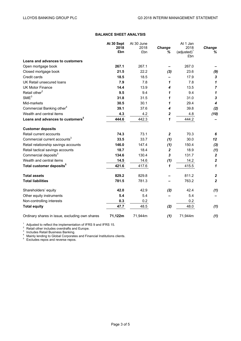# **BALANCE SHEET ANALYSIS**

|                                                | At 30 Sept  | At 30 June  |                  | At 1 Jan                        |                         |
|------------------------------------------------|-------------|-------------|------------------|---------------------------------|-------------------------|
|                                                | 2018<br>£bn | 2018<br>£bn | Change<br>℅      | 2018<br>(adjusted) <sup>1</sup> | Change<br>℅             |
| Loans and advances to customers                |             |             |                  | £bn                             |                         |
| Open mortgage book                             | 267.1       | 267.1       |                  | 267.0                           |                         |
| Closed mortgage book                           | 21.5        | 22.2        | (3)              | 23.6                            | (9)                     |
| Credit cards                                   | 18.5        | 18.5        |                  | 17.9                            | 3                       |
| UK Retail unsecured loans                      | 7.9         | 7.8         | 1                | 7.8                             | 1                       |
| <b>UK Motor Finance</b>                        | 14.4        | 13.9        | 4                | 13.5                            | $\overline{7}$          |
| Retail other <sup>2</sup>                      | 9.5         | 9.4         | 1                | 9.4                             | 1                       |
| SME <sup>3</sup>                               | 31.8        | 31.5        | 1                | 31.0                            | 3                       |
| Mid-markets                                    | 30.5        | 30.1        | 1                | 29.4                            | 4                       |
| Commercial Banking other <sup>4</sup>          | 39.1        | 37.6        | 4                | 39.8                            | (2)                     |
| Wealth and central items                       | 4.3         | 4.2         | $\boldsymbol{2}$ | 4.8                             | (10)                    |
| Loans and advances to customers <sup>5</sup>   | 444.6       | 442.3       | 1                | 444.2                           |                         |
| <b>Customer deposits</b>                       |             |             |                  |                                 |                         |
| Retail current accounts                        | 74.3        | 73.1        | $\boldsymbol{2}$ | 70.3                            | 6                       |
| Commercial current accounts <sup>3</sup>       | 33.5        | 33.7        | (1)              | 30.0                            | 12                      |
| Retail relationship savings accounts           | 146.0       | 147.4       | (1)              | 150.4                           | (3)                     |
| Retail tactical savings accounts               | 18.7        | 18.4        | $\boldsymbol{2}$ | 18.9                            | (1)                     |
| Commercial deposits <sup>3</sup>               | 134.6       | 130.4       | 3                | 131.7                           | $\boldsymbol{2}$        |
| Wealth and central items                       | 14.5        | 14.6        | (1)              | 14.2                            | $\overline{\mathbf{2}}$ |
| Total customer deposits <sup>5</sup>           | 421.6       | 417.6       | 1                | 415.5                           | 1                       |
| <b>Total assets</b>                            | 829.2       | 829.8       |                  | 811.2                           | $\boldsymbol{2}$        |
| <b>Total liabilities</b>                       | 781.5       | 781.3       |                  | 763.2                           | $\overline{2}$          |
| Shareholders' equity                           | 42.0        | 42.9        | (2)              | 42.4                            | (1)                     |
| Other equity instruments                       | 5.4         | 5.4         |                  | 5.4                             |                         |
| Non-controlling interests                      | 0.3         | 0.2         |                  | 0.2                             |                         |
| <b>Total equity</b>                            | 47.7        | 48.5        | (2)              | 48.0                            | (1)                     |
| Ordinary shares in issue, excluding own shares | 71,122m     | 71,944m     | (1)              | 71,944m                         | (1)                     |

<sup>1</sup> Adjusted to reflect the implementation of IFRS 9 and IFRS 15.<br>
<sup>2</sup> Retail other includes overdrafts and Europe.<br>
<sup>3</sup> Includes Retail Business Banking.<br>
<sup>4</sup> Mainly lending to Global Corporates and Financial Institution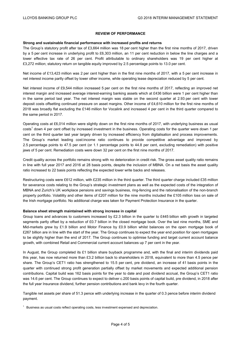# **REVIEW OF PERFORMANCE**

#### **Strong and sustainable financial performance with increased profits and returns**

The Group's statutory profit after tax of £3,664 million was 18 per cent higher than the first nine months of 2017, driven by a 5 per cent increase in underlying profit to £6,303 million, an 11 per cent reduction in below the line charges and a lower effective tax rate of 26 per cent. Profit attributable to ordinary shareholders was 19 per cent higher at £3,272 million; statutory return on tangible equity improved by 2.5 percentage points to 13.0 per cent.

Net income of £13,423 million was 2 per cent higher than in the first nine months of 2017, with a 5 per cent increase in net interest income partly offset by lower other income, while operating lease depreciation reduced by 5 per cent.

Net interest income of £9,544 million increased 5 per cent on the first nine months of 2017, reflecting an improved net interest margin and increased average interest-earning banking assets which at £436 billion were 1 per cent higher than in the same period last year. The net interest margin was stable on the second quarter at 2.93 per cent with lower deposit costs offsetting continued pressure on asset margins. Other income of £4,610 million for the first nine months of 2018 was broadly flat excluding the £146 million for Vocalink and increased 4 per cent in the third quarter compared to the same period in 2017.

Operating costs at £6,014 million were slightly down on the first nine months of 2017, with underlying business as usual costs<sup>1</sup> down 4 per cent offset by increased investment in the business. Operating costs for the quarter were down 1 per cent on the third quarter last year largely driven by increased efficiency from digitalisation and process improvements. The Group's market leading cost:income ratio continues to provide competitive advantage and improved by 2.5 percentage points to 47.5 per cent (or 1.1 percentage points to 44.8 per cent, excluding remediation) with positive jaws of 5 per cent. Remediation costs were down 32 per cent on the first nine months of 2017.

Credit quality across the portfolio remains strong with no deterioration in credit risk. The gross asset quality ratio remains in line with full year 2017 and 2016 at 28 basis points, despite the inclusion of MBNA. On a net basis the asset quality ratio increased to 22 basis points reflecting the expected lower write backs and releases.

Restructuring costs were £612 million, with £235 million in the third quarter. The third quarter charge included £35 million for severance costs relating to the Group's strategic investment plans as well as the expected costs of the integration of MBNA and Zurich's UK workplace pensions and savings business, ring-fencing and the rationalisation of the non-branch property portfolio. Volatility and other items of £207 million for the nine months included the £105 million loss on sale of the Irish mortgage portfolio. No additional charge was taken for Payment Protection Insurance in the quarter.

#### **Balance sheet strength maintained with strong increase in capital**

Group loans and advances to customers increased by £2.3 billion in the quarter to £445 billion with growth in targeted segments partly offset by a reduction of £0.7 billion in the closed mortgage book. Over the last nine months, SME and Mid-markets grew by £1.9 billion and Motor Finance by £0.9 billion whilst balances on the open mortgage book of £267 billion are in line with the start of the year. The Group continues to expect the year end position for open mortgages to be slightly higher than the end of 2017. The Group continues to optimise funding and target current account balance growth, with combined Retail and Commercial current account balances up 7 per cent in the year.

In August, the Group completed its £1 billion share buyback programme and, with the final and interim dividends paid this year, has now returned more than £3.2 billion back to shareholders in 2018, equivalent to more than 4.5 pence per share. The Group's CET1 ratio has strengthened to 15.5 per cent, pre dividend, an increase of 41 basis points in the quarter with continued strong profit generation partially offset by market movements and expected additional pension contributions. Capital build was 162 basis points for the year to date and post dividend accrual, the Group's CET1 ratio was 14.6 per cent. The Group continues to expect to deliver c.200 basis points of capital build, pre dividend, in 2018 after the full year Insurance dividend, further pension contributions and bank levy in the fourth quarter.

Tangible net assets per share of 51.3 pence with underlying increase in the quarter of 0.3 pence before interim dividend payment.

 $1$  Business as usual costs reflect operating costs, less investment expensed and depreciation.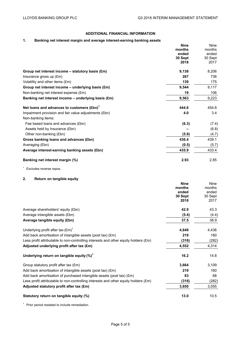# **ADDITIONAL FINANCIAL INFORMATION**

# **1. Banking net interest margin and average interest-earning banking assets**

|                                                              | <b>Nine</b> | Nine    |
|--------------------------------------------------------------|-------------|---------|
|                                                              | months      | months  |
|                                                              | ended       | ended   |
|                                                              | 30 Sept     | 30 Sept |
|                                                              | 2018        | 2017    |
| Group net interest income $-$ statutory basis (£m)           | 9,138       | 8,206   |
| Insurance gross up (£m)                                      | 267         | 736     |
| Volatility and other items (£m)                              | 139         | 175     |
| Group net interest income $-$ underlying basis $(\text{Em})$ | 9,544       | 9,117   |
| Non-banking net interest expense (£m)                        | 19          | 106     |
| Banking net interest income - underlying basis (£m)          | 9,563       | 9,223   |
| Net loans and advances to customers (£bn) <sup>1</sup>       | 444.6       | 454.6   |
| Impairment provision and fair value adjustments (£bn)        | 4.0         | 3.4     |
| Non-banking items:                                           |             |         |
| Fee based loans and advances (£bn)                           | (6.3)       | (7.4)   |
| Assets held by Insurance (£bn)                               |             | (6.8)   |
| Other non-banking (£bn)                                      | (5.9)       | (4.7)   |
| Gross banking loans and advances (£bn)                       | 436.4       | 439.1   |
| Averaging (£bn)                                              | (0.5)       | (5.7)   |
| Average interest-earning banking assets (£bn)                | 435.9       | 433.4   |
| Banking net interest margin (%)                              | 2.93        | 2.85    |

<sup>1</sup> Excludes reverse repos.

# **2. Return on tangible equity**

|                                                                                     | <b>Nine</b> | Nine    |
|-------------------------------------------------------------------------------------|-------------|---------|
|                                                                                     | months      | months  |
|                                                                                     | ended       | ended   |
|                                                                                     | 30 Sept     | 30 Sept |
|                                                                                     | 2018        | 2017    |
| Average shareholders' equity (£bn)                                                  | 42.9        | 43.3    |
| Average intangible assets (£bn)                                                     | (5.4)       | (4.4)   |
| Average tangible equity (£bn)                                                       | 37.5        | 38.9    |
| Underlying profit after tax $(\text{Em})^1$                                         | 4,649       | 4,436   |
| Add back amortisation of intangible assets (post tax) (£m)                          | 219         | 160     |
| Less profit attributable to non-controlling interests and other equity holders (£m) | (316)       | (282)   |
| Adjusted underlying profit after tax (£m)                                           | 4,552       | 4,314   |
| Underlying return on tangible equity $(\%)^1$                                       | 16.2        | 14.8    |
| Group statutory profit after tax (£m)                                               | 3,664       | 3,109   |
| Add back amortisation of intangible assets (post tax) (£m)                          | 219         | 160     |
| Add back amortisation of purchased intangible assets (post tax) (£m)                | 83          | 68      |
| Less profit attributable to non-controlling interests and other equity holders (£m) | (316)       | (282)   |
| Adjusted statutory profit after tax (£m)                                            | 3,650       | 3,055   |
| Statutory return on tangible equity (%)                                             | 13.0        | 10.5    |

 $1$  Prior period restated to include remediation.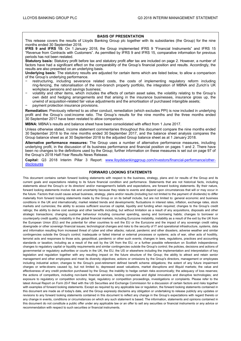#### **BASIS OF PRESENTATION**

This release covers the results of Lloyds Banking Group plc together with its subsidiaries (the Group) for the nine months ended 30 September 2018.

**IFRS 9 and IFRS 15:** On 1 January 2018, the Group implemented IFRS 9 "Financial Instruments" and IFRS 15 "Revenue from Contracts with Customers". As permitted by IFRS 9 and IFRS 15, comparative information for previous periods has not been restated.

**Statutory basis:** Statutory profit before tax and statutory profit after tax are included on page 2. However, a number of factors have had a significant effect on the comparability of the Group's financial position and results. Accordingly, the results are also presented on an underlying basis.

**Underlying basis:** The statutory results are adjusted for certain items which are listed below, to allow a comparison of the Group's underlying performance.

- − restructuring, including severance related costs, the costs of implementing regulatory reform including ring-fencing, the rationalisation of the non-branch property portfolio, the integration of MBNA and Zurich's UK workplace pensions and savings business;
- − volatility and other items, which includes the effects of certain asset sales, the volatility relating to the Group's own debt and hedging arrangements and that arising in the insurance businesses, insurance gross up, the unwind of acquisition-related fair value adjustments and the amortisation of purchased intangible assets;
- − payment protection insurance provisions.

**Remediation:** Previously referred to as other conduct, remediation (which excludes PPI) is now included in underlying profit and the Group's cost:income ratio. The Group's results for the nine months and the three months ended 30 September 2017 have been restated to allow comparison.

**MBNA:** MBNA's results and balance sheet have been consolidated with effect from 1 June 2017.

Unless otherwise stated, income statement commentaries throughout this document compare the nine months ended 30 September 2018 to the nine months ended 30 September 2017, and the balance sheet analysis compares the Group balance sheet as at 30 September 2018 to the adjusted Group balance sheet as at 1 January 2018.

**Alternative performance measures:** The Group uses a number of alternative performance measures, including underlying profit, in the discussion of its business performance and financial position on pages 1 and 2. There have been no changes to the definitions used by the Group; further information on these measures is set out on page 97 of the Group's 2018 Half-Year Results News Release.

Capital: Q3 2018 Interim Pillar 3 Report: www.lloydsbankinggroup.com/investors/financial-performance/otherdisclosures

## **FORWARD LOOKING STATEMENTS**

This document contains certain forward looking statements with respect to the business, strategy, plans and /or results of the Group and its current goals and expectations relating to its future financial condition and performance. Statements that are not historical facts, including statements about the Group's or its directors' and/or management's beliefs and expectations, are forward looking statements. By their nature, forward looking statements involve risk and uncertainty because they relate to events and depend upon circumstances that will or may occur in the future. Factors that could cause actual business, strategy, plans and/or results (including but not limited to the payment of dividends) to differ materially from forward looking statements made by the Group or on its behalf include, but are not limited to: general economic and business conditions in the UK and internationally; market related trends and developments; fluctuations in interest rates, inflation, exchange rates, stock markets and currencies; the ability to access sufficient sources of capital, liquidity and funding when required; changes to the Group's credit ratings; the ability to derive cost savings and other benefits including, but without limitation as a result of any acquisitions, disposals and other strategic transactions; changing customer behaviour including consumer spending, saving and borrowing habits; changes to borrower or counterparty credit quality; instability in the global financial markets, including Eurozone instability, instability as a result of the exit by the UK from the European Union (EU) and the potential for other countries to exit the EU or the Eurozone and the impact of any sovereign credit rating downgrade or other sovereign financial issues; technological changes and risks to the security of IT and operational infrastructure, systems, data and information resulting from increased threat of cyber and other attacks; natural, pandemic and other disasters, adverse weather and similar contingencies outside the Group's control; inadequate or failed internal or external processes or systems; acts of war, other acts of hostility, terrorist acts and responses to those acts, geopolitical, pandemic or other such events; changes in laws, regulations, practices and accounting standards or taxation, including as a result of the exit by the UK from the EU, or a further possible referendum on Scottish independence; changes to regulatory capital or liquidity requirements and similar contingencies outside the Group's control; the policies, decisions and actions of governmental or regulatory authorities or courts in the UK, the EU, the US or elsewhere including the implementation and interpretation of key legislation and regulation together with any resulting impact on the future structure of the Group; the ability to attract and retain senior management and other employees and meet its diversity objectives; actions or omissions by the Group's directors, management or employees including industrial action; changes to the Group's post-retirement defined benefit scheme obligations; the extent of any future impairment charges or write-downs caused by, but not limited to, depressed asset valuations, market disruptions and illiquid markets; the value and effectiveness of any credit protection purchased by the Group; the inability to hedge certain risks economically; the adequacy of loss reserves; the actions of competitors, including non-bank financial services, lending companies and digital innovators and disruptive technologies; and exposure to regulatory or competition scrutiny, legal, regulatory or competition proceedings, investigations or complaints. Please refer to the latest Annual Report on Form 20-F filed with the US Securities and Exchange Commission for a discussion of certain factors and risks together with examples of forward looking statements. Except as required by any applicable law or regulation, the forward looking statements contained in this document are made as of today's date, and the Group expressly disclaims any obligation or undertaking to release publicly any updates or revisions to any forward looking statements contained in this document to reflect any change in the Group's expectations with regard thereto or any change in events, conditions or circumstances on which any such statement is based. The information, statements and opinions contained in this document do not constitute a public offer under any applicable law or an offer to sell any securities or financial instruments or any advice or recommendation with respect to such securities or financial instruments.